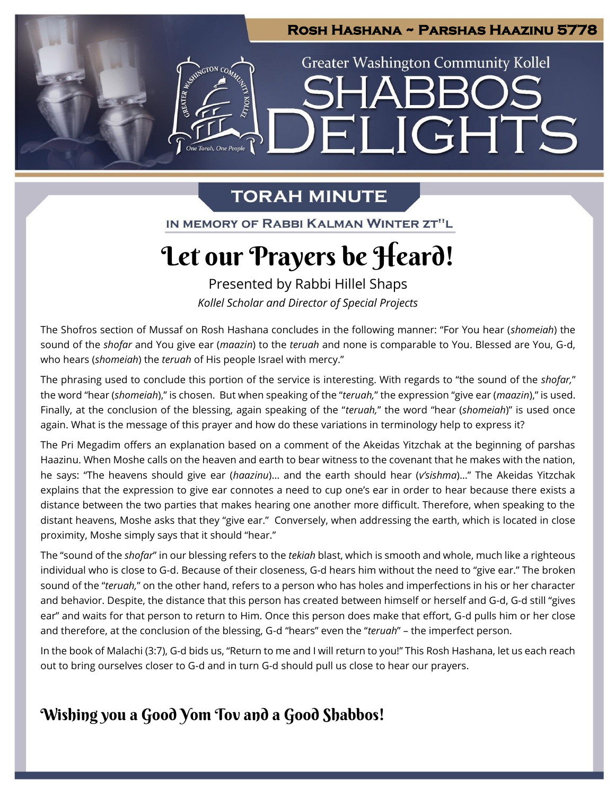# **Rosh Hashana ~ Parshas Haazinu 5778 Greater Washington Community Kollel** ELIGHTS n<br>e Torah. One People

# **TORAH MINUTE**

IN MEMORY OF RABBI KALMAN WINTER ZT"L

# Let our Prayers be Heard!

Presented by Rabbi Hillel Shaps *Kollel Scholar and Director of Special Projects*

The Shofros section of Mussaf on Rosh Hashana concludes in the following manner: "For You hear (*shomeiah*) the sound of the *shofar* and You give ear (*maazin*) to the *teruah* and none is comparable to You. Blessed are You, G-d, who hears (*shomeiah*) the *teruah* of His people Israel with mercy."

The phrasing used to conclude this portion of the service is interesting. With regards to "the sound of the *shofar,*" the word "hear (*shomeiah*)," is chosen. But when speaking of the "*teruah,*" the expression "give ear (*maazin*)," is used. Finally, at the conclusion of the blessing, again speaking of the "*teruah,*" the word "hear (*shomeiah*)" is used once again. What is the message of this prayer and how do these variations in terminology help to express it?

The Pri Megadim offers an explanation based on a comment of the Akeidas Yitzchak at the beginning of parshas Haazinu. When Moshe calls on the heaven and earth to bear witness to the covenant that he makes with the nation, he says: "The heavens should give ear (*haazinu*)… and the earth should hear (*v'sishma*)…" The Akeidas Yitzchak explains that the expression to give ear connotes a need to cup one's ear in order to hear because there exists a distance between the two parties that makes hearing one another more difficult. Therefore, when speaking to the distant heavens, Moshe asks that they "give ear." Conversely, when addressing the earth, which is located in close proximity, Moshe simply says that it should "hear."

The "sound of the *shofar*" in our blessing refers to the *tekiah* blast, which is smooth and whole, much like a righteous individual who is close to G-d. Because of their closeness, G-d hears him without the need to "give ear." The broken sound of the "*teruah,*" on the other hand, refers to a person who has holes and imperfections in his or her character and behavior. Despite, the distance that this person has created between himself or herself and G-d, G-d still "gives ear" and waits for that person to return to Him. Once this person does make that effort, G-d pulls him or her close and therefore, at the conclusion of the blessing, G-d "hears" even the "*teruah*" – the imperfect person.

In the book of Malachi (3:7), G-d bids us, "Return to me and I will return to you!" This Rosh Hashana, let us each reach out to bring ourselves closer to G-d and in turn G-d should pull us close to hear our prayers.

# Wishing you a Good Yom Tov and a Good Shabbos!